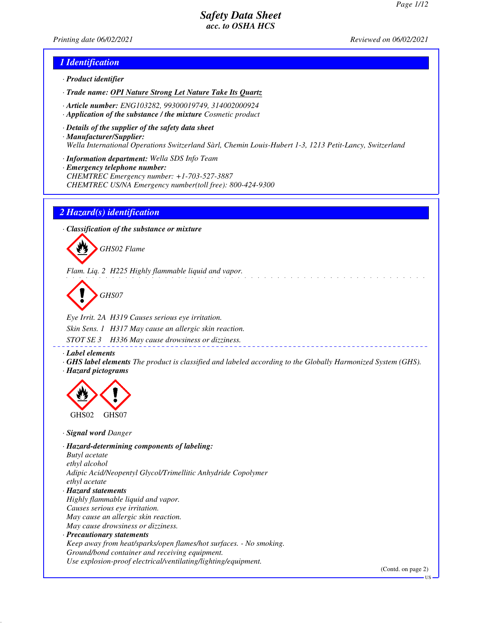*Printing date 06/02/2021 Reviewed on 06/02/2021*

### *1 Identification*

- *· Product identifier*
- *· Trade name: OPI Nature Strong Let Nature Take Its Quartz*
- *· Article number: ENG103282, 99300019749, 314002000924*
- *· Application of the substance / the mixture Cosmetic product*
- *· Details of the supplier of the safety data sheet · Manufacturer/Supplier: Wella International Operations Switzerland Sàrl, Chemin Louis-Hubert 1-3, 1213 Petit-Lancy, Switzerland*
- *· Information department: Wella SDS Info Team*
- *· Emergency telephone number: CHEMTREC Emergency number: +1-703-527-3887 CHEMTREC US/NA Emergency number(toll free): 800-424-9300*

### *2 Hazard(s) identification*

*· Classification of the substance or mixture*



*Flam. Liq. 2 H225 Highly flammable liquid and vapor.*

*GHS07*

*Eye Irrit. 2A H319 Causes serious eye irritation. Skin Sens. 1 H317 May cause an allergic skin reaction. STOT SE 3 H336 May cause drowsiness or dizziness.*

*· Label elements*

*· GHS label elements The product is classified and labeled according to the Globally Harmonized System (GHS). · Hazard pictograms*



*· Signal word Danger*

*· Hazard-determining components of labeling: Butyl acetate ethyl alcohol Adipic Acid/Neopentyl Glycol/Trimellitic Anhydride Copolymer ethyl acetate · Hazard statements Highly flammable liquid and vapor. Causes serious eye irritation. May cause an allergic skin reaction. May cause drowsiness or dizziness. · Precautionary statements Keep away from heat/sparks/open flames/hot surfaces. - No smoking.*

*Ground/bond container and receiving equipment. Use explosion-proof electrical/ventilating/lighting/equipment.*

(Contd. on page 2)

US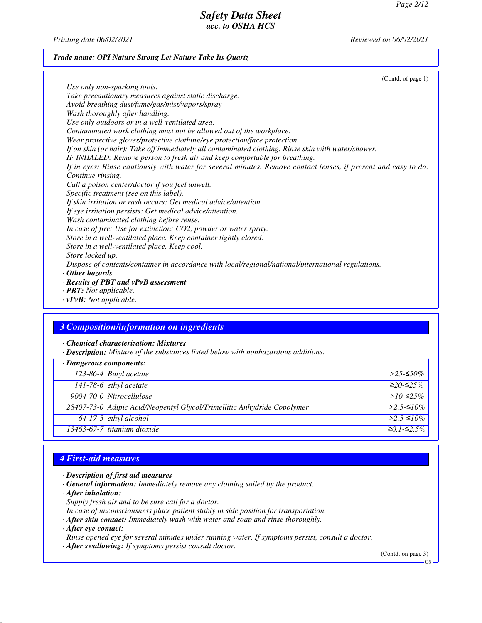*Printing date 06/02/2021 Reviewed on 06/02/2021*

### *Trade name: OPI Nature Strong Let Nature Take Its Quartz*

(Contd. of page 1) *Use only non-sparking tools. Take precautionary measures against static discharge. Avoid breathing dust/fume/gas/mist/vapors/spray Wash thoroughly after handling. Use only outdoors or in a well-ventilated area. Contaminated work clothing must not be allowed out of the workplace. Wear protective gloves/protective clothing/eye protection/face protection. If on skin (or hair): Take off immediately all contaminated clothing. Rinse skin with water/shower. IF INHALED: Remove person to fresh air and keep comfortable for breathing. If in eyes: Rinse cautiously with water for several minutes. Remove contact lenses, if present and easy to do. Continue rinsing. Call a poison center/doctor if you feel unwell. Specific treatment (see on this label). If skin irritation or rash occurs: Get medical advice/attention. If eye irritation persists: Get medical advice/attention. Wash contaminated clothing before reuse. In case of fire: Use for extinction: CO2, powder or water spray. Store in a well-ventilated place. Keep container tightly closed. Store in a well-ventilated place. Keep cool. Store locked up. Dispose of contents/container in accordance with local/regional/national/international regulations. · Other hazards · Results of PBT and vPvB assessment · PBT: Not applicable.*

*· vPvB: Not applicable.*

### *3 Composition/information on ingredients*

*· Chemical characterization: Mixtures*

*· Description: Mixture of the substances listed below with nonhazardous additions.*

| $\cdot$ Dangerous components: |                                                                         |                     |
|-------------------------------|-------------------------------------------------------------------------|---------------------|
|                               | 123-86-4 Butyl acetate                                                  | $>$ 25-≤50%         |
|                               | $141-78-6$ ethyl acetate                                                | $≥20-≤25%$          |
|                               | 9004-70-0 Nitrocellulose                                                | > $10$ -≤25%        |
|                               | 28407-73-0 Adipic Acid/Neopentyl Glycol/Trimellitic Anhydride Copolymer | $>2.5-10\%$         |
|                               | $\sqrt{64-17-5}$ ethyl alcohol                                          | $>2.5-10\%$         |
|                               | 13463-67-7 titanium dioxide                                             | $\geq 0.1 - 52.5\%$ |

## *4 First-aid measures*

- *· Description of first aid measures*
- *· General information: Immediately remove any clothing soiled by the product.*
- *· After inhalation:*
- *Supply fresh air and to be sure call for a doctor.*
- *In case of unconsciousness place patient stably in side position for transportation.*
- *· After skin contact: Immediately wash with water and soap and rinse thoroughly.*
- *· After eye contact:*

*Rinse opened eye for several minutes under running water. If symptoms persist, consult a doctor.*

*· After swallowing: If symptoms persist consult doctor.*

(Contd. on page 3)

US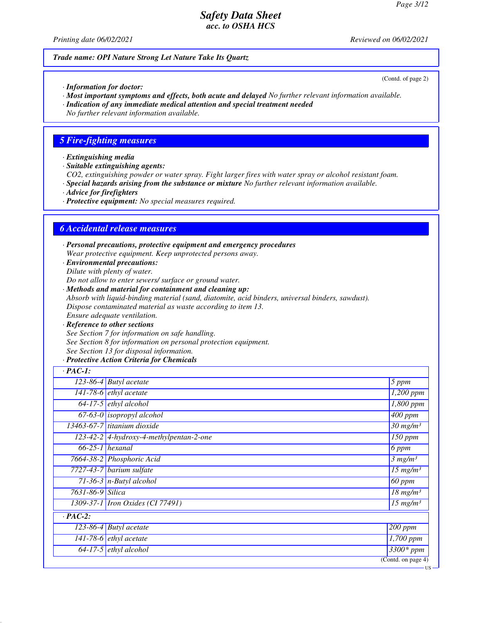*Printing date 06/02/2021 Reviewed on 06/02/2021*

### *Trade name: OPI Nature Strong Let Nature Take Its Quartz*

*· Information for doctor:*

- *· Most important symptoms and effects, both acute and delayed No further relevant information available.*
- *· Indication of any immediate medical attention and special treatment needed*

*No further relevant information available.*

### *5 Fire-fighting measures*

- *· Extinguishing media*
- *· Suitable extinguishing agents:*

*CO2, extinguishing powder or water spray. Fight larger fires with water spray or alcohol resistant foam.*

- *· Special hazards arising from the substance or mixture No further relevant information available.*
- *· Advice for firefighters*
- *· Protective equipment: No special measures required.*

### *6 Accidental release measures*

*· Personal precautions, protective equipment and emergency procedures Wear protective equipment. Keep unprotected persons away.*

*· Environmental precautions: Dilute with plenty of water.*

*Do not allow to enter sewers/ surface or ground water.*

- *· Methods and material for containment and cleaning up: Absorb with liquid-binding material (sand, diatomite, acid binders, universal binders, sawdust). Dispose contaminated material as waste according to item 13. Ensure adequate ventilation.*
- *· Reference to other sections See Section 7 for information on safe handling. See Section 8 for information on personal protection equipment. See Section 13 for disposal information.*

### *· Protective Action Criteria for Chemicals*

| $\cdot$ PAC-1:   |                                           |                          |
|------------------|-------------------------------------------|--------------------------|
|                  | $\overline{123}$ -86-4 Butyl acetate      | 5 ppm                    |
|                  | $141-78-6$ ethyl acetate                  | $\overline{1,200}$ ppm   |
|                  | $64-17-5$ ethyl alcohol                   | 1,800 ppm                |
|                  | $67-63-0$ isopropyl alcohol               | $\overline{400}$ ppm     |
|                  | 13463-67-7 titanium dioxide               | $30$ mg/m <sup>3</sup>   |
|                  | $123-42-2$ 4-hydroxy-4-methylpentan-2-one | 150 ppm                  |
|                  | $66-25-1$ hexanal                         | 6 ppm                    |
|                  | 7664-38-2 Phosphoric Acid                 | 3 mg/m <sup>3</sup>      |
|                  | 7727-43-7 barium sulfate                  | $15$ mg/m <sup>3</sup>   |
|                  | $71-36-3$ n-Butyl alcohol                 | $\overline{60}$ ppm      |
| 7631-86-9 Silica |                                           | $18$ mg/m <sup>3</sup>   |
|                  | 1309-37-1 <i>Iron Oxides</i> (CI 77491)   | $\overline{15 \ m}g/m^3$ |
| $\cdot$ PAC-2:   |                                           |                          |
|                  | $\overline{123-86-4}$ Butyl acetate       | $\sqrt{200}$ ppm         |
|                  | 141-78-6 $ethyl$ acetate                  | $\overline{1,}700$ ppm   |
|                  | $64-17-5$ ethyl alcohol                   | $\frac{1}{3300*}$ ppm    |
|                  |                                           | (Cond. on page 4)        |

US

(Contd. of page 2)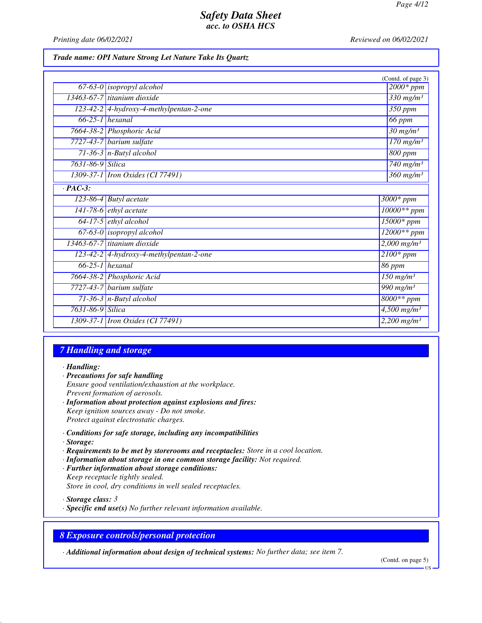*Printing date 06/02/2021 Reviewed on 06/02/2021*

### *Trade name: OPI Nature Strong Let Nature Take Its Quartz*

|                  |                                         | (Contd. of page 3)                   |
|------------------|-----------------------------------------|--------------------------------------|
|                  | $67-63-0$ isopropyl alcohol             | $2000*ppm$                           |
|                  | 13463-67-7 titanium dioxide             | $330$ mg/m <sup>3</sup>              |
|                  | 123-42-2 4-hydroxy-4-methylpentan-2-one | $\overline{350}$ ppm                 |
|                  | $66-25-1$ hexanal                       | 66 ppm                               |
|                  | 7664-38-2 Phosphoric Acid               | $\overline{30}$ mg/m <sup>3</sup>    |
|                  | $7727-43-7$ barium sulfate              | $\frac{170 \text{ m}g}{m^3}$         |
|                  | $71-36-3$ n-Butyl alcohol               | 800 ppm                              |
| 7631-86-9 Silica |                                         | $\frac{740 \text{ m}g}{m^3}$         |
|                  | 1309-37-1 <i>Iron Oxides</i> (CI 77491) | $\frac{360 \text{ mg}}{m}$           |
| $\cdot$ PAC-3:   |                                         |                                      |
|                  | $123-86-4$ Butyl acetate                | $3000*$ ppm                          |
|                  | 141-78-6 $ethyl$ acetate                | $10000**$ ppm                        |
|                  | $64-17-5$ ethyl alcohol                 | $15000*$ ppm                         |
|                  | 67-63-0 isopropyl alcohol               | $12000**$ ppm                        |
|                  | 13463-67-7 titanium dioxide             | $2,000$ mg/m <sup>3</sup>            |
|                  | 123-42-2 4-hydroxy-4-methylpentan-2-one | $2100*$ ppm                          |
|                  | $66-25-1$ hexanal                       | 86 ppm                               |
|                  | 7664-38-2 Phosphoric Acid               | $\overline{150}$ mg/m <sup>3</sup>   |
|                  | 7727-43-7 barium sulfate                | $\overline{990}$ mg/m <sup>3</sup>   |
|                  | $71-36-3$ n-Butyl alcohol               | $8000**$ ppm                         |
| 7631-86-9 Silica |                                         | $\overline{4,500}$ mg/m <sup>3</sup> |
|                  | 1309-37-1 <i>Iron Oxides</i> (CI 77491) | $2,200$ mg/m <sup>3</sup>            |

### *7 Handling and storage*

*· Handling:*

- *· Precautions for safe handling Ensure good ventilation/exhaustion at the workplace. Prevent formation of aerosols. · Information about protection against explosions and fires:*
- *Keep ignition sources away Do not smoke. Protect against electrostatic charges.*
- *· Conditions for safe storage, including any incompatibilities · Storage:*
- *· Requirements to be met by storerooms and receptacles: Store in a cool location.*
- *· Information about storage in one common storage facility: Not required.*
- *· Further information about storage conditions: Keep receptacle tightly sealed. Store in cool, dry conditions in well sealed receptacles.*

*· Storage class: 3* 

*· Specific end use(s) No further relevant information available.*

## *8 Exposure controls/personal protection*

*· Additional information about design of technical systems: No further data; see item 7.*

(Contd. on page 5)

US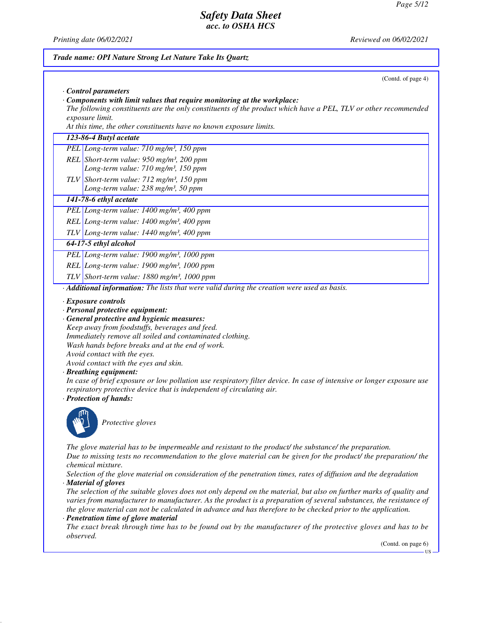(Contd. of page 4)

**TIC** 

## *Safety Data Sheet acc. to OSHA HCS*

*· Control parameters*

*Trade name: OPI Nature Strong Let Nature Take Its Quartz*

*Printing date 06/02/2021 Reviewed on 06/02/2021*

## *· Components with limit values that require monitoring at the workplace: The following constituents are the only constituents of the product which have a PEL, TLV or other recommended exposure limit. At this time, the other constituents have no known exposure limits. 123-86-4 Butyl acetate PEL Long-term value: 710 mg/m³, 150 ppm REL Short-term value: 950 mg/m³, 200 ppm Long-term value: 710 mg/m³, 150 ppm TLV Short-term value: 712 mg/m³, 150 ppm Long-term value: 238 mg/m³, 50 ppm 141-78-6 ethyl acetate PEL Long-term value: 1400 mg/m³, 400 ppm REL Long-term value: 1400 mg/m³, 400 ppm TLV Long-term value: 1440 mg/m³, 400 ppm 64-17-5 ethyl alcohol PEL Long-term value: 1900 mg/m³, 1000 ppm REL Long-term value: 1900 mg/m³, 1000 ppm TLV Short-term value: 1880 mg/m³, 1000 ppm · Additional information: The lists that were valid during the creation were used as basis. · Exposure controls · Personal protective equipment: · General protective and hygienic measures: Keep away from foodstuffs, beverages and feed. Immediately remove all soiled and contaminated clothing. Wash hands before breaks and at the end of work. Avoid contact with the eyes. Avoid contact with the eyes and skin. · Breathing equipment: In case of brief exposure or low pollution use respiratory filter device. In case of intensive or longer exposure use respiratory protective device that is independent of circulating air. · Protection of hands: Protective gloves The glove material has to be impermeable and resistant to the product/ the substance/ the preparation. Due to missing tests no recommendation to the glove material can be given for the product/ the preparation/ the chemical mixture. Selection of the glove material on consideration of the penetration times, rates of diffusion and the degradation · Material of gloves The selection of the suitable gloves does not only depend on the material, but also on further marks of quality and varies from manufacturer to manufacturer. As the product is a preparation of several substances, the resistance of the glove material can not be calculated in advance and has therefore to be checked prior to the application. · Penetration time of glove material The exact break through time has to be found out by the manufacturer of the protective gloves and has to be observed.* (Contd. on page 6)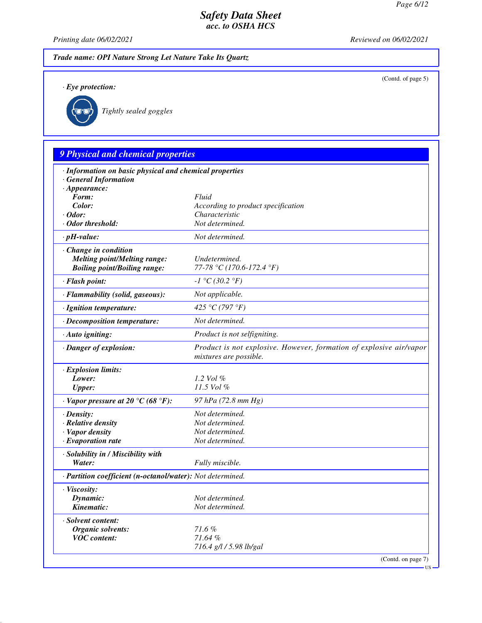*Printing date 06/02/2021 Reviewed on 06/02/2021*

*Trade name: OPI Nature Strong Let Nature Take Its Quartz*

*· Eye protection:*

(Contd. of page 5)



 $\Gamma$ 

*Tightly sealed goggles*

# *9 Physical and chemical properties*

| $\cdot$ Appearance:                                        |                                                                                               |
|------------------------------------------------------------|-----------------------------------------------------------------------------------------------|
| Form:                                                      | Fluid                                                                                         |
| Color:                                                     | According to product specification                                                            |
| $\cdot$ Odor:                                              | Characteristic                                                                                |
| · Odor threshold:                                          | Not determined.                                                                               |
| $\cdot$ pH-value:                                          | Not determined.                                                                               |
| Change in condition                                        |                                                                                               |
| <b>Melting point/Melting range:</b>                        | Undetermined.                                                                                 |
| <b>Boiling point/Boiling range:</b>                        | 77-78 °C (170.6-172.4 °F)                                                                     |
| · Flash point:                                             | $-1 °C(30.2 °F)$                                                                              |
| · Flammability (solid, gaseous):                           | Not applicable.                                                                               |
| · Ignition temperature:                                    | 425 °C (797 °F)                                                                               |
| · Decomposition temperature:                               | Not determined.                                                                               |
| · Auto igniting:                                           | Product is not selfigniting.                                                                  |
| · Danger of explosion:                                     | Product is not explosive. However, formation of explosive air/vapor<br>mixtures are possible. |
| · Explosion limits:                                        |                                                                                               |
| Lower:                                                     | 1.2 Vol $\%$                                                                                  |
| <b>Upper:</b>                                              | 11.5 Vol %                                                                                    |
| $\cdot$ Vapor pressure at 20 °C (68 °F):                   | 97 hPa (72.8 mm Hg)                                                                           |
| $\cdot$ Density:                                           | Not determined.                                                                               |
| $\cdot$ Relative density                                   | Not determined.                                                                               |
| · Vapor density                                            | Not determined.                                                                               |
| $\cdot$ Evaporation rate                                   | Not determined.                                                                               |
| · Solubility in / Miscibility with                         |                                                                                               |
| Water:                                                     | Fully miscible.                                                                               |
| · Partition coefficient (n-octanol/water): Not determined. |                                                                                               |
| · Viscosity:                                               |                                                                                               |
| Dynamic:                                                   | Not determined.                                                                               |
| Kinematic:                                                 | Not determined.                                                                               |
| · Solvent content:                                         |                                                                                               |
| Organic solvents:                                          | 71.6%                                                                                         |
| <b>VOC</b> content:                                        | 71.64%                                                                                        |
|                                                            | 716.4 g/l / 5.98 lb/gal                                                                       |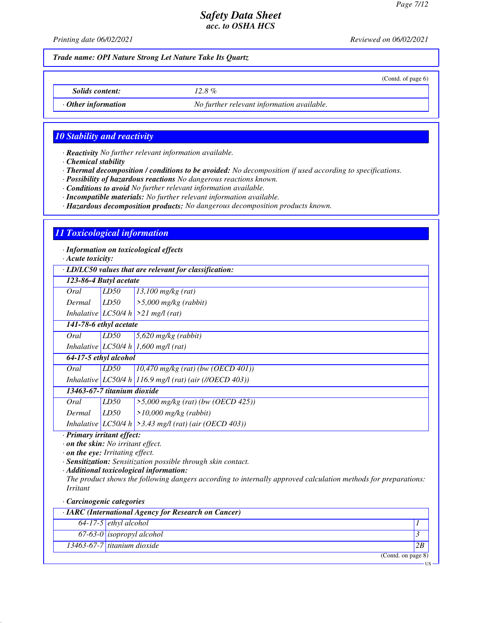(Contd. of page 6)

## *Safety Data Sheet acc. to OSHA HCS*

*Printing date 06/02/2021 Reviewed on 06/02/2021*

*Trade name: OPI Nature Strong Let Nature Take Its Quartz*

*Solids content: 12.8 %*

*· Other information No further relevant information available.*

### *10 Stability and reactivity*

*· Reactivity No further relevant information available.*

*· Chemical stability*

*· Thermal decomposition / conditions to be avoided: No decomposition if used according to specifications.*

*· Possibility of hazardous reactions No dangerous reactions known.*

*· Conditions to avoid No further relevant information available.*

*· Incompatible materials: No further relevant information available.*

*· Hazardous decomposition products: No dangerous decomposition products known.*

### *11 Toxicological information*

*· Information on toxicological effects*

*· Acute toxicity:*

*· LD/LC50 values that are relevant for classification:*

|                             |      | · LD/LC50 values that are relevant for classification:     |
|-----------------------------|------|------------------------------------------------------------|
| 123-86-4 Butyl acetate      |      |                                                            |
| Oral                        | LD50 | $13,100$ mg/kg (rat)                                       |
| Dermal                      | LD50 | $\geq 5,000$ mg/kg (rabbit)                                |
|                             |      | Inhalative LC50/4 h $>21$ mg/l (rat)                       |
| 141-78-6 ethyl acetate      |      |                                                            |
| Oral                        | LD50 | $5,620$ mg/kg (rabbit)                                     |
|                             |      | Inhalative LC50/4 h 1,600 mg/l (rat)                       |
| 64-17-5 ethyl alcohol       |      |                                                            |
| Oral                        | LD50 | $10,470$ mg/kg (rat) (bw (OECD 401))                       |
|                             |      | Inhalative LC50/4 h 116.9 mg/l (rat) (air (//OECD 403))    |
| 13463-67-7 titanium dioxide |      |                                                            |
| Oral                        | LD50 | $>5,000$ mg/kg (rat) (bw (OECD 425))                       |
| Dermal                      | LD50 | $>10,000$ mg/kg (rabbit)                                   |
|                             |      | Inhalative $ LCS0/4 h  > 3.43$ mg/l (rat) (air (OECD 403)) |

*· Primary irritant effect:*

*· on the skin: No irritant effect.*

*· on the eye: Irritating effect.*

*· Sensitization: Sensitization possible through skin contact.*

*· Additional toxicological information:*

*The product shows the following dangers according to internally approved calculation methods for preparations: Irritant*

*· Carcinogenic categories*

| $\cdot$ IARC (International Agency for Research on Cancer) |                               |    |
|------------------------------------------------------------|-------------------------------|----|
|                                                            | $64-17-5$ ethyl alcohol       |    |
|                                                            | $67-63-0$ isopropyl alcohol   |    |
|                                                            | $13463-67-7$ titanium dioxide | 2B |
|                                                            | (Contd. on page 8)            |    |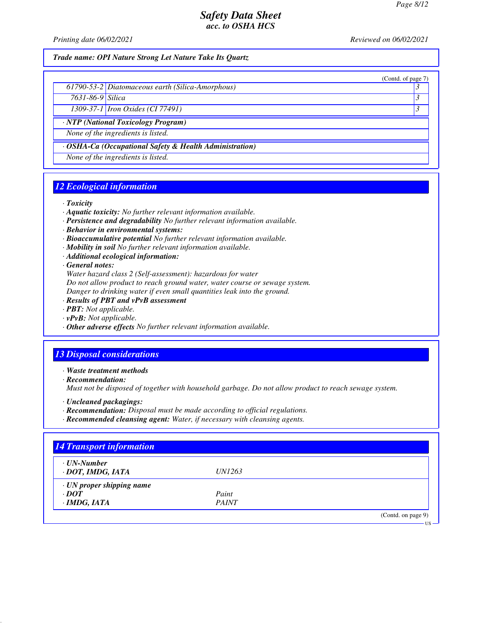(Contd. of page 7)

### *Safety Data Sheet acc. to OSHA HCS*

*Printing date 06/02/2021 Reviewed on 06/02/2021*

### *Trade name: OPI Nature Strong Let Nature Take Its Quartz*

*7631-86-9 Silica 3* 

*1309-37-1 Iron Oxides (CI 77491) 3* 

*· NTP (National Toxicology Program)*

*None of the ingredients is listed.*

*· OSHA-Ca (Occupational Safety & Health Administration)*

*None of the ingredients is listed.*

### *12 Ecological information*

### *· Toxicity*

- *· Aquatic toxicity: No further relevant information available.*
- *· Persistence and degradability No further relevant information available.*
- *· Behavior in environmental systems:*
- *· Bioaccumulative potential No further relevant information available.*
- *· Mobility in soil No further relevant information available.*
- *· Additional ecological information:*

*· General notes:*

*Water hazard class 2 (Self-assessment): hazardous for water*

*Do not allow product to reach ground water, water course or sewage system.*

*Danger to drinking water if even small quantities leak into the ground.*

- *· Results of PBT and vPvB assessment*
- *· PBT: Not applicable.*
- *· vPvB: Not applicable.*
- *· Other adverse effects No further relevant information available.*

### *13 Disposal considerations*

*· Waste treatment methods*

*· Recommendation:*

*Must not be disposed of together with household garbage. Do not allow product to reach sewage system.*

- *· Uncleaned packagings:*
- *· Recommendation: Disposal must be made according to official regulations.*
- *· Recommended cleansing agent: Water, if necessary with cleansing agents.*

| $\cdot$ UN-Number               |               |  |
|---------------------------------|---------------|--|
| · DOT, IMDG, IATA               | <i>UN1263</i> |  |
| $\cdot$ UN proper shipping name |               |  |
| $\cdot$ DOT                     | Paint         |  |
| $\cdot$ IMDG, IATA              | <b>PAINT</b>  |  |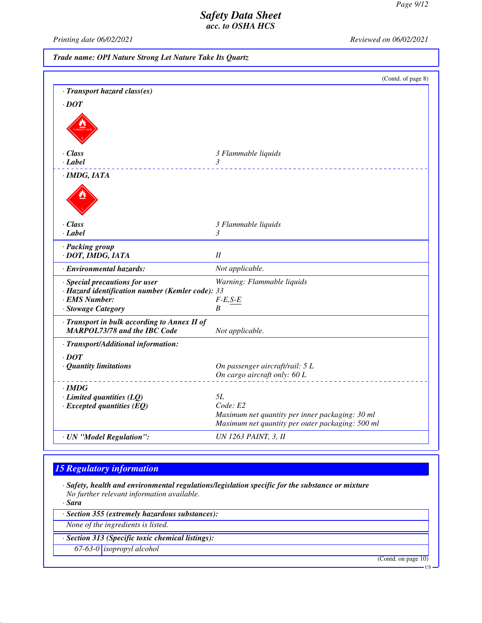*Printing date 06/02/2021 Reviewed on 06/02/2021*

*Trade name: OPI Nature Strong Let Nature Take Its Quartz*

|                                                                                                                           | (Contd. of page 8)                                                                                              |
|---------------------------------------------------------------------------------------------------------------------------|-----------------------------------------------------------------------------------------------------------------|
| · Transport hazard class(es)                                                                                              |                                                                                                                 |
| $\cdot$ DOT                                                                                                               |                                                                                                                 |
|                                                                                                                           |                                                                                                                 |
| · Class                                                                                                                   | 3 Flammable liquids                                                                                             |
| · Label                                                                                                                   | 3                                                                                                               |
| · IMDG, IATA                                                                                                              |                                                                                                                 |
|                                                                                                                           |                                                                                                                 |
| · Class                                                                                                                   | 3 Flammable liquids                                                                                             |
| $\cdot$ Label                                                                                                             | 3                                                                                                               |
| · Packing group<br>· DOT, IMDG, IATA                                                                                      | $I\!I$                                                                                                          |
| · Environmental hazards:                                                                                                  | Not applicable.                                                                                                 |
| · Special precautions for user<br>· Hazard identification number (Kemler code): 33<br>· EMS Number:<br>· Stowage Category | Warning: Flammable liquids<br>$F-E,S-E$<br>B                                                                    |
| · Transport in bulk according to Annex II of<br><b>MARPOL73/78 and the IBC Code</b>                                       | Not applicable.                                                                                                 |
| · Transport/Additional information:                                                                                       |                                                                                                                 |
| $.$ DOT<br>· Quantity limitations                                                                                         | On passenger aircraft/rail: 5 L<br>On cargo aircraft only: 60 L                                                 |
| $\cdot$ IMDG                                                                                                              |                                                                                                                 |
| $\cdot$ Limited quantities (LQ)                                                                                           | 5L                                                                                                              |
| $\cdot$ Excepted quantities (EQ)                                                                                          | Code: E2<br>Maximum net quantity per inner packaging: 30 ml<br>Maximum net quantity per outer packaging: 500 ml |
| · UN "Model Regulation":                                                                                                  | <b>UN 1263 PAINT, 3, II</b>                                                                                     |

## *15 Regulatory information*

*· Safety, health and environmental regulations/legislation specific for the substance or mixture No further relevant information available.*

*· Sara*

*· Section 355 (extremely hazardous substances):*

*None of the ingredients is listed.*

*· Section 313 (Specific toxic chemical listings):*

*67-63-0 isopropyl alcohol*

(Contd. on page 10)

US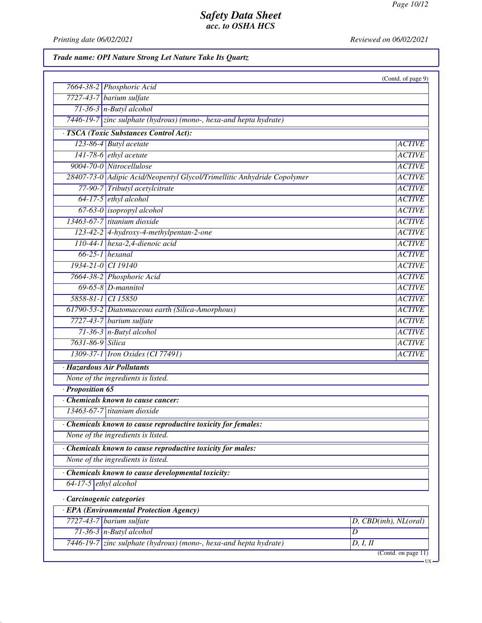*Printing date 06/02/2021 Reviewed on 06/02/2021*

*Trade name: OPI Nature Strong Let Nature Take Its Quartz*

|                                                                         | (Contd. of page 9)    |
|-------------------------------------------------------------------------|-----------------------|
| 7664-38-2 Phosphoric Acid                                               |                       |
| 7727-43-7 barium sulfate                                                |                       |
| $71-36-3$ n-Butyl alcohol                                               |                       |
| 7446-19-7 zinc sulphate (hydrous) (mono-, hexa-and hepta hydrate)       |                       |
| · TSCA (Toxic Substances Control Act):                                  |                       |
| 123-86-4 Butyl acetate                                                  | <b>ACTIVE</b>         |
| $141-78-6$ ethyl acetate                                                | <b>ACTIVE</b>         |
| 9004-70-0 Nitrocellulose                                                | <b>ACTIVE</b>         |
| 28407-73-0 Adipic Acid/Neopentyl Glycol/Trimellitic Anhydride Copolymer | <b>ACTIVE</b>         |
| 77-90-7 Tributyl acetylcitrate                                          | <b>ACTIVE</b>         |
| 64-17-5 ethyl alcohol                                                   | <b>ACTIVE</b>         |
| 67-63-0 isopropyl alcohol                                               | <b>ACTIVE</b>         |
| 13463-67-7 titanium dioxide                                             | <b>ACTIVE</b>         |
| 123-42-2 4-hydroxy-4-methylpentan-2-one                                 | <b>ACTIVE</b>         |
| 110-44-1 hexa-2,4-dienoic acid                                          | <b>ACTIVE</b>         |
| $66-25-1$ hexanal                                                       | <b>ACTIVE</b>         |
| 1934-21-0 CI 19140                                                      | <b>ACTIVE</b>         |
| 7664-38-2 Phosphoric Acid                                               | <b>ACTIVE</b>         |
| $69-65-8$ <i>D</i> -mannitol                                            | <b>ACTIVE</b>         |
| 5858-81-1 CI 15850                                                      | <b>ACTIVE</b>         |
| 61790-53-2 Diatomaceous earth (Silica-Amorphous)                        | <b>ACTIVE</b>         |
| $7727-43-7$ barium sulfate                                              | <b>ACTIVE</b>         |
| $71-36-3$ n-Butyl alcohol                                               | <b>ACTIVE</b>         |
| 7631-86-9 Silica                                                        | <b>ACTIVE</b>         |
| 1309-37-1 <i>Iron Oxides</i> (CI 77491)                                 | <b>ACTIVE</b>         |
| · Hazardous Air Pollutants                                              |                       |
| None of the ingredients is listed.                                      |                       |
| · Proposition 65                                                        |                       |
| Chemicals known to cause cancer:                                        |                       |
| 13463-67-7 titanium dioxide                                             |                       |
| Chemicals known to cause reproductive toxicity for females:             |                       |
| None of the ingredients is listed.                                      |                       |
| Chemicals known to cause reproductive toxicity for males:               |                       |
| None of the ingredients is listed.                                      |                       |
| Chemicals known to cause developmental toxicity:                        |                       |
| $64-17-5$ ethyl alcohol                                                 |                       |
| · Carcinogenic categories                                               |                       |
| · EPA (Environmental Protection Agency)                                 |                       |
| $7727-43-7$ barium sulfate                                              | D, CBD(inh), NL(oral) |
| $71-36-3$ n-Butyl alcohol                                               | $\overline{D}$        |
| 7446-19-7 zinc sulphate (hydrous) (mono-, hexa-and hepta hydrate)       | D, I, II              |
|                                                                         | (Cond. on page 11)    |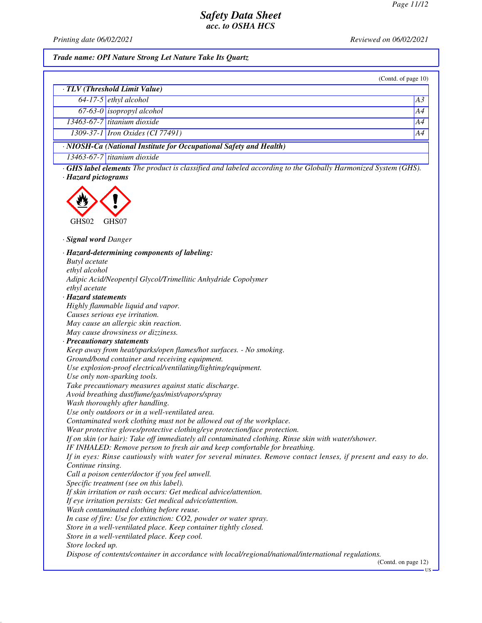*Printing date 06/02/2021 Reviewed on 06/02/2021*

### *Trade name: OPI Nature Strong Let Nature Take Its Quartz*

| (Contd. of page 10) |  |  |
|---------------------|--|--|
|                     |  |  |

| · TLV (Threshold Limit Value)                                            |                                         |    |
|--------------------------------------------------------------------------|-----------------------------------------|----|
|                                                                          | $64-17-5$ ethyl alcohol                 | A3 |
|                                                                          | 67-63-0 isopropyl alcohol               | A4 |
|                                                                          | $13463-67-7$ titanium dioxide           | A4 |
|                                                                          | 1309-37-1 <i>Iron Oxides</i> (CI 77491) | A4 |
| $\cdot$ NIOSH-Ca (National Institute for Occupational Safety and Health) |                                         |    |

*13463-67-7 titanium dioxide*

*· GHS label elements The product is classified and labeled according to the Globally Harmonized System (GHS). · Hazard pictograms*



*· Signal word Danger*

*· Hazard-determining components of labeling: Butyl acetate ethyl alcohol Adipic Acid/Neopentyl Glycol/Trimellitic Anhydride Copolymer ethyl acetate · Hazard statements Highly flammable liquid and vapor. Causes serious eye irritation. May cause an allergic skin reaction. May cause drowsiness or dizziness. · Precautionary statements Keep away from heat/sparks/open flames/hot surfaces. - No smoking. Ground/bond container and receiving equipment. Use explosion-proof electrical/ventilating/lighting/equipment. Use only non-sparking tools. Take precautionary measures against static discharge. Avoid breathing dust/fume/gas/mist/vapors/spray Wash thoroughly after handling. Use only outdoors or in a well-ventilated area. Contaminated work clothing must not be allowed out of the workplace. Wear protective gloves/protective clothing/eye protection/face protection. If on skin (or hair): Take off immediately all contaminated clothing. Rinse skin with water/shower. IF INHALED: Remove person to fresh air and keep comfortable for breathing. If in eyes: Rinse cautiously with water for several minutes. Remove contact lenses, if present and easy to do. Continue rinsing. Call a poison center/doctor if you feel unwell. Specific treatment (see on this label). If skin irritation or rash occurs: Get medical advice/attention. If eye irritation persists: Get medical advice/attention. Wash contaminated clothing before reuse. In case of fire: Use for extinction: CO2, powder or water spray. Store in a well-ventilated place. Keep container tightly closed. Store in a well-ventilated place. Keep cool. Store locked up. Dispose of contents/container in accordance with local/regional/national/international regulations.* (Contd. on page 12)

US